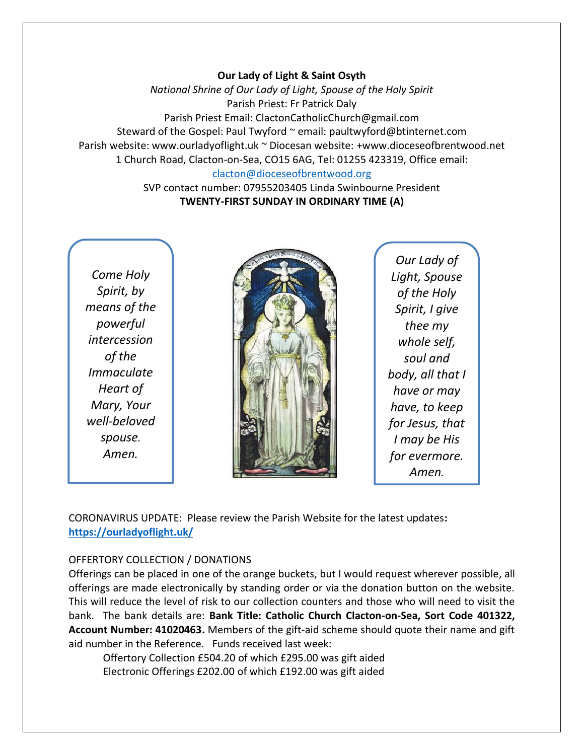### **Our Lady of Light & Saint Osyth**

*National Shrine of Our Lady of Light, Spouse of the Holy Spirit* Parish Priest: Fr Patrick Daly Parish Priest Email: ClactonCatholicChurch@gmail.com Steward of the Gospel: Paul Twyford ~ email: paultwyford@btinternet.com Parish website: www.ourladyoflight.uk ~ Diocesan website: +www.dioceseofbrentwood.net 1 Church Road, Clacton-on-Sea, CO15 6AG, Tel: 01255 423319, Office email: [clacton@dioceseofbrentwood.org](mailto:clacton@dioceseofbrentwood.org)

> SVP contact number: 07955203405 Linda Swinbourne President **TWENTY-FIRST SUNDAY IN ORDINARY TIME (A)**

*Come Holy Spirit, by means of the powerful intercession of the Immaculate Heart of Mary, Your well-beloved spouse. Amen.*



*Our Lady of Light, Spouse of the Holy Spirit, I give thee my whole self, soul and body, all that I have or may have, to keep for Jesus, that I may be His for evermore. Amen.*

CORONAVIRUS UPDATE: Please review the Parish Website for the latest updates**: <https://ourladyoflight.uk/>**

### OFFERTORY COLLECTION / DONATIONS

Offerings can be placed in one of the orange buckets, but I would request wherever possible, all offerings are made electronically by standing order or via the donation button on the website. This will reduce the level of risk to our collection counters and those who will need to visit the bank. The bank details are: **Bank Title: Catholic Church Clacton-on-Sea, Sort Code 401322, Account Number: 41020463.** Members of the gift-aid scheme should quote their name and gift aid number in the Reference. Funds received last week:

Offertory Collection £504.20 of which £295.00 was gift aided Electronic Offerings £202.00 of which £192.00 was gift aided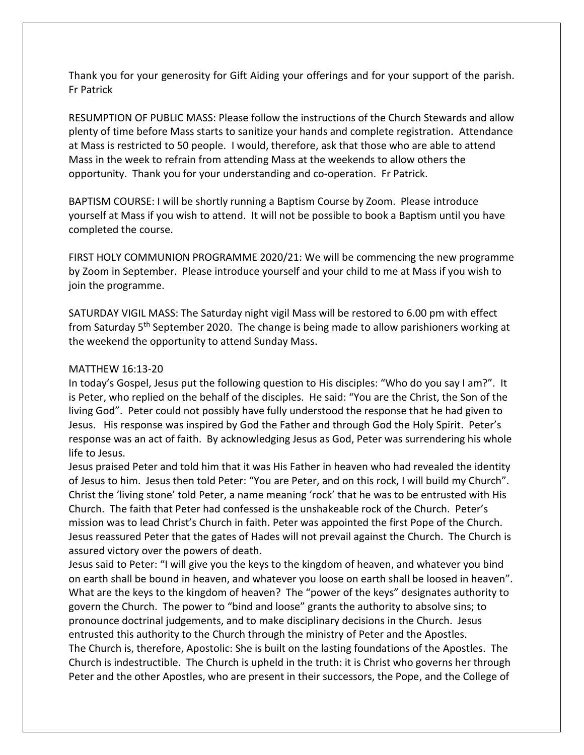Thank you for your generosity for Gift Aiding your offerings and for your support of the parish. Fr Patrick

RESUMPTION OF PUBLIC MASS: Please follow the instructions of the Church Stewards and allow plenty of time before Mass starts to sanitize your hands and complete registration. Attendance at Mass is restricted to 50 people. I would, therefore, ask that those who are able to attend Mass in the week to refrain from attending Mass at the weekends to allow others the opportunity. Thank you for your understanding and co-operation. Fr Patrick.

BAPTISM COURSE: I will be shortly running a Baptism Course by Zoom. Please introduce yourself at Mass if you wish to attend. It will not be possible to book a Baptism until you have completed the course.

FIRST HOLY COMMUNION PROGRAMME 2020/21: We will be commencing the new programme by Zoom in September. Please introduce yourself and your child to me at Mass if you wish to join the programme.

SATURDAY VIGIL MASS: The Saturday night vigil Mass will be restored to 6.00 pm with effect from Saturday  $5<sup>th</sup>$  September 2020. The change is being made to allow parishioners working at the weekend the opportunity to attend Sunday Mass.

### MATTHEW 16:13-20

In today's Gospel, Jesus put the following question to His disciples: "Who do you say I am?". It is Peter, who replied on the behalf of the disciples. He said: "You are the Christ, the Son of the living God". Peter could not possibly have fully understood the response that he had given to Jesus. His response was inspired by God the Father and through God the Holy Spirit. Peter's response was an act of faith. By acknowledging Jesus as God, Peter was surrendering his whole life to Jesus.

Jesus praised Peter and told him that it was His Father in heaven who had revealed the identity of Jesus to him. Jesus then told Peter: "You are Peter, and on this rock, I will build my Church". Christ the 'living stone' told Peter, a name meaning 'rock' that he was to be entrusted with His Church. The faith that Peter had confessed is the unshakeable rock of the Church. Peter's mission was to lead Christ's Church in faith. Peter was appointed the first Pope of the Church. Jesus reassured Peter that the gates of Hades will not prevail against the Church. The Church is assured victory over the powers of death.

Jesus said to Peter: "I will give you the keys to the kingdom of heaven, and whatever you bind on earth shall be bound in heaven, and whatever you loose on earth shall be loosed in heaven". What are the keys to the kingdom of heaven? The "power of the keys" designates authority to govern the Church. The power to "bind and loose" grants the authority to absolve sins; to pronounce doctrinal judgements, and to make disciplinary decisions in the Church. Jesus entrusted this authority to the Church through the ministry of Peter and the Apostles. The Church is, therefore, Apostolic: She is built on the lasting foundations of the Apostles. The Church is indestructible. The Church is upheld in the truth: it is Christ who governs her through Peter and the other Apostles, who are present in their successors, the Pope, and the College of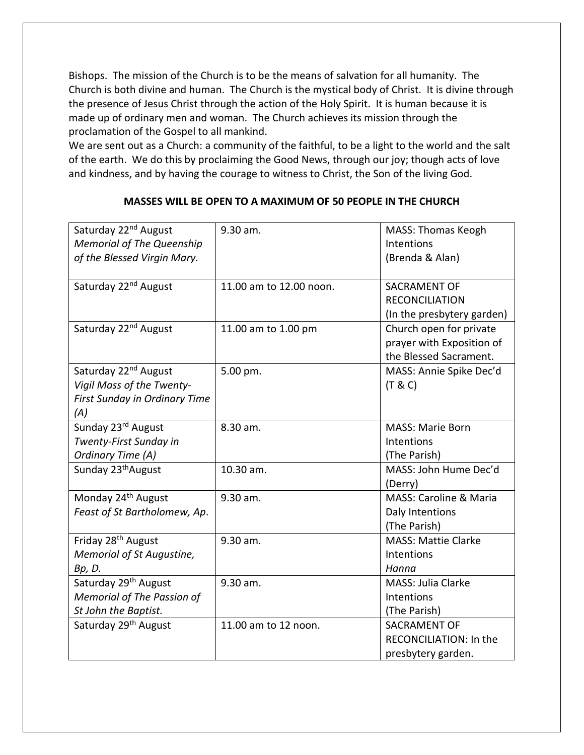Bishops. The mission of the Church is to be the means of salvation for all humanity. The Church is both divine and human. The Church is the mystical body of Christ. It is divine through the presence of Jesus Christ through the action of the Holy Spirit. It is human because it is made up of ordinary men and woman. The Church achieves its mission through the proclamation of the Gospel to all mankind.

We are sent out as a Church: a community of the faithful, to be a light to the world and the salt of the earth. We do this by proclaiming the Good News, through our joy; though acts of love and kindness, and by having the courage to witness to Christ, the Son of the living God.

| Saturday 22 <sup>nd</sup> August<br><b>Memorial of The Queenship</b><br>of the Blessed Virgin Mary.   | 9.30 am.                | <b>MASS: Thomas Keogh</b><br>Intentions<br>(Brenda & Alan)                     |
|-------------------------------------------------------------------------------------------------------|-------------------------|--------------------------------------------------------------------------------|
| Saturday 22 <sup>nd</sup> August                                                                      | 11.00 am to 12.00 noon. | SACRAMENT OF                                                                   |
|                                                                                                       |                         | <b>RECONCILIATION</b><br>(In the presbytery garden)                            |
| Saturday 22 <sup>nd</sup> August                                                                      | 11.00 am to 1.00 pm     | Church open for private<br>prayer with Exposition of<br>the Blessed Sacrament. |
| Saturday 22 <sup>nd</sup> August<br>Vigil Mass of the Twenty-<br>First Sunday in Ordinary Time<br>(A) | 5.00 pm.                | MASS: Annie Spike Dec'd<br>(T & C)                                             |
| Sunday 23rd August<br>Twenty-First Sunday in<br>Ordinary Time (A)                                     | 8.30 am.                | <b>MASS: Marie Born</b><br>Intentions<br>(The Parish)                          |
| Sunday 23 <sup>th</sup> August                                                                        | 10.30 am.               | MASS: John Hume Dec'd<br>(Derry)                                               |
| Monday 24 <sup>th</sup> August<br>Feast of St Bartholomew, Ap.                                        | 9.30 am.                | <b>MASS: Caroline &amp; Maria</b><br>Daly Intentions<br>(The Parish)           |
| Friday 28 <sup>th</sup> August<br>Memorial of St Augustine,<br>Bp, D.                                 | 9.30 am.                | <b>MASS: Mattie Clarke</b><br>Intentions<br>Hanna                              |
| Saturday 29 <sup>th</sup> August<br>Memorial of The Passion of<br>St John the Baptist.                | 9.30 am.                | MASS: Julia Clarke<br>Intentions<br>(The Parish)                               |
| Saturday 29 <sup>th</sup> August                                                                      | 11.00 am to 12 noon.    | SACRAMENT OF<br>RECONCILIATION: In the<br>presbytery garden.                   |

## **MASSES WILL BE OPEN TO A MAXIMUM OF 50 PEOPLE IN THE CHURCH**